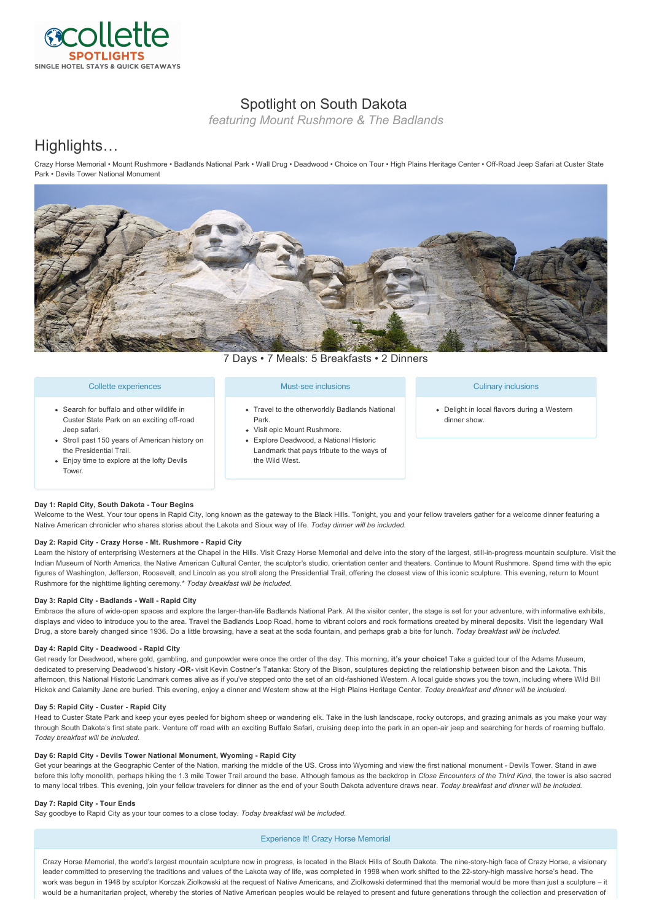

## Spotlight on South Dakota

*featuring Mount Rushmore & The Badlands*

# Highlights…

Crazy Horse Memorial • Mount Rushmore • Badlands National Park • Wall Drug • Deadwood • Choice on Tour • High Plains Heritage Center • Off-Road Jeep Safari at Custer State Park • Devils Tower National Monument



7 Days • 7 Meals: 5 Breakfasts • 2 Dinners

#### Collette experiences

- Search for buffalo and other wildlife in Custer State Park on an exciting off-road Jeep safari.
- Stroll past 150 years of American history on the Presidential Trail.
- Enjoy time to explore at the lofty Devils Tower.

#### Must-see inclusions

- Travel to the otherworldly Badlands National Park.
- Visit epic Mount Rushmore.
- Explore Deadwood, a National Historic Landmark that pays tribute to the ways of the Wild West.

#### Culinary inclusions

Delight in local flavors during a Western dinner show.

### **Day 1: Rapid City, South Dakota Tour Begins**

Welcome to the West. Your tour opens in Rapid City, long known as the gateway to the Black Hills. Tonight, you and your fellow travelers gather for a welcome dinner featuring a Native American chronicler who shares stories about the Lakota and Sioux way of life. *Today dinner will be included.*

#### Day 2: Rapid City - Crazy Horse - Mt. Rushmore - Rapid City

Learn the history of enterprising Westerners at the Chapel in the Hills. Visit Crazy Horse Memorial and delve into the story of the largest, still-in-progress mountain sculpture. Visit the Indian Museum of North America, the Native American Cultural Center, the sculptor's studio, orientation center and theaters. Continue to Mount Rushmore. Spend time with the epic figures of Washington, Jefferson, Roosevelt, and Lincoln as you stroll along the Presidential Trail, offering the closest view of this iconic sculpture. This evening, return to Mount Rushmore for the nighttime lighting ceremony.\* *Today breakfast will be included.*

### Day 3: Rapid City - Badlands - Wall - Rapid City

Embrace the allure of wide-open spaces and explore the larger-than-life Badlands National Park. At the visitor center, the stage is set for your adventure, with informative exhibits, displays and video to introduce you to the area. Travel the Badlands Loop Road, home to vibrant colors and rock formations created by mineral deposits. Visit the legendary Wall Drug, a store barely changed since 1936. Do a little browsing, have a seat at the soda fountain, and perhaps grab a bite for lunch. *Today breakfast will be included.*

#### Day 4: Rapid City - Deadwood - Rapid City

Get ready for Deadwood, where gold, gambling, and gunpowder were once the order of the day. This morning, **it's your choice!** Take a guided tour of the Adams Museum, dedicated to preserving Deadwood's history **OR** visit Kevin Costner's Tatanka: Story of the Bison, sculptures depicting the relationship between bison and the Lakota. This afternoon, this National Historic Landmark comes alive as if you've stepped onto the set of an old-fashioned Western. A local quide shows you the town, including where Wild Bill Hickok and Calamity Jane are buried. This evening, enjoy a dinner and Western show at the High Plains Heritage Center. *Today breakfast and dinner will be included.*

#### Day 5: Rapid City - Custer - Rapid City

Head to Custer State Park and keep your eyes peeled for bighorn sheep or wandering elk. Take in the lush landscape, rocky outcrops, and grazing animals as you make your way through South Dakota's first state park. Venture off road with an exciting Buffalo Safari, cruising deep into the park in an open-air jeep and searching for herds of roaming buffalo. *Today breakfast will be included.*

#### Day 6: Rapid City - Devils Tower National Monument, Wyoming - Rapid City

Get your bearings at the Geographic Center of the Nation, marking the middle of the US. Cross into Wyoming and view the first national monument - Devils Tower. Stand in awe before this lofty monolith, perhaps hiking the 1.3 mile Tower Trail around the base. Although famous as the backdrop in *Close Encounters of the Third Kind*, the tower is also sacred to many local tribes. This evening, join your fellow travelers for dinner as the end of your South Dakota adventure draws near. *Today breakfast and dinner will be included.*

#### **Day 7: Rapid City Tour Ends**

Say goodbye to Rapid City as your tour comes to a close today. *Today breakfast will be included.*

#### Experience It! Crazy Horse Memorial

Crazy Horse Memorial, the world's largest mountain sculpture now in progress, is located in the Black Hills of South Dakota. The ninestoryhigh face of Crazy Horse, a visionary leader committed to preserving the traditions and values of the Lakota way of life, was completed in 1998 when work shifted to the 22-story-high massive horse's head. The work was begun in 1948 by sculptor Korczak Ziolkowski at the request of Native Americans, and Ziolkowski determined that the memorial would be more than just a sculpture - it would be a humanitarian project, whereby the stories of Native American peoples would be relayed to present and future generations through the collection and preservation of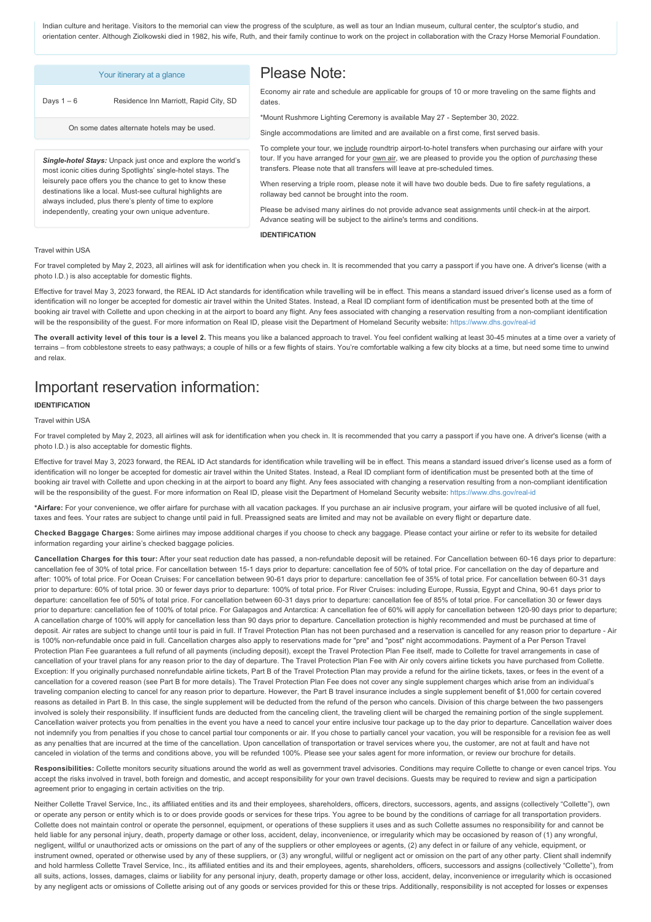Indian culture and heritage. Visitors to the memorial can view the progress of the sculpture, as well as tour an Indian museum, cultural center, the sculptor's studio, and orientation center. Although Ziolkowski died in 1982, his wife, Ruth, and their family continue to work on the project in collaboration with the Crazy Horse Memorial Foundation.

| Your itinerary at a glance                                                                                                                                                                                                                                                                                                                                                 | Please Note:                                                                                                                                                                                                                                                                                                                                                                                                                                                                                                                                                                                                                                                |
|----------------------------------------------------------------------------------------------------------------------------------------------------------------------------------------------------------------------------------------------------------------------------------------------------------------------------------------------------------------------------|-------------------------------------------------------------------------------------------------------------------------------------------------------------------------------------------------------------------------------------------------------------------------------------------------------------------------------------------------------------------------------------------------------------------------------------------------------------------------------------------------------------------------------------------------------------------------------------------------------------------------------------------------------------|
| Residence Inn Marriott, Rapid City, SD<br>Days $1-6$                                                                                                                                                                                                                                                                                                                       | Economy air rate and schedule are applicable for groups of 10 or more traveling on the same flights and<br>dates.                                                                                                                                                                                                                                                                                                                                                                                                                                                                                                                                           |
| On some dates alternate hotels may be used.                                                                                                                                                                                                                                                                                                                                | *Mount Rushmore Lighting Ceremony is available May 27 - September 30, 2022.<br>Single accommodations are limited and are available on a first come, first served basis.                                                                                                                                                                                                                                                                                                                                                                                                                                                                                     |
| Single-hotel Stays: Unpack just once and explore the world's<br>most iconic cities during Spotlights' single-hotel stays. The<br>leisurely pace offers you the chance to get to know these<br>destinations like a local. Must-see cultural highlights are<br>always included, plus there's plenty of time to explore<br>independently, creating your own unique adventure. | To complete your tour, we include roundtrip airport-to-hotel transfers when purchasing our airfare with your<br>tour. If you have arranged for your own air, we are pleased to provide you the option of purchasing these<br>transfers. Please note that all transfers will leave at pre-scheduled times.<br>When reserving a triple room, please note it will have two double beds. Due to fire safety regulations, a<br>rollaway bed cannot be brought into the room.<br>Please be advised many airlines do not provide advance seat assignments until check-in at the airport.<br>Advance seating will be subject to the airline's terms and conditions. |
|                                                                                                                                                                                                                                                                                                                                                                            | <b>IDENTIFICATION</b>                                                                                                                                                                                                                                                                                                                                                                                                                                                                                                                                                                                                                                       |
| <b>Travel within USA</b>                                                                                                                                                                                                                                                                                                                                                   |                                                                                                                                                                                                                                                                                                                                                                                                                                                                                                                                                                                                                                                             |

For travel completed by May 2, 2023, all airlines will ask for identification when you check in. It is recommended that you carry a passport if you have one. A driver's license (with a photo I.D.) is also acceptable for domestic flights.

Effective for travel May 3, 2023 forward, the REAL ID Act standards for identification while travelling will be in effect. This means a standard issued driver's license used as a form of identification will no longer be accepted for domestic air travel within the United States. Instead, a Real ID compliant form of identification must be presented both at the time of booking air travel with Collette and upon checking in at the airport to board any flight. Any fees associated with changing a reservation resulting from a non-compliant identification will be the responsibility of the guest. For more information on Real ID, please visit the Department of Homeland Security website: https://www.dhs.gov/real-id

The overall activity level of this tour is a level 2. This means you like a balanced approach to travel. You feel confident walking at least 30-45 minutes at a time over a variety of terrains – from cobblestone streets to easy pathways; a couple of hills or a few flights of stairs. You're comfortable walking a few city blocks at a time, but need some time to unwind and relax.

# Important reservation information:

### **IDENTIFICATION**

#### Travel within USA

For travel completed by May 2, 2023, all airlines will ask for identification when you check in. It is recommended that you carry a passport if you have one. A driver's license (with a photo I.D.) is also acceptable for domestic flights.

Effective for travel May 3, 2023 forward, the REAL ID Act standards for identification while travelling will be in effect. This means a standard issued driver's license used as a form of identification will no longer be accepted for domestic air travel within the United States. Instead, a Real ID compliant form of identification must be presented both at the time of booking air travel with Collette and upon checking in at the airport to board any flight. Any fees associated with changing a reservation resulting from a non-compliant identification will be the responsibility of the quest. For more information on Real ID, please visit the Department of Homeland Security website: https://www.dhs.gov/real-id

**\*Airfare:** For your convenience, we offer airfare for purchase with all vacation packages. If you purchase an air inclusive program, your airfare will be quoted inclusive of all fuel, taxes and fees. Your rates are subject to change until paid in full. Preassigned seats are limited and may not be available on every flight or departure date.

**Checked Baggage Charges:** Some airlines may impose additional charges if you choose to check any baggage. Please contact your airline or refer to its website for detailed information regarding your airline's checked baggage policies.

Cancellation Charges for this tour: After your seat reduction date has passed, a non-refundable deposit will be retained. For Cancellation between 60-16 days prior to departure: cancellation fee of 30% of total price. For cancellation between 15-1 days prior to departure: cancellation fee of 50% of total price. For cancellation on the day of departure and after: 100% of total price. For Ocean Cruises: For cancellation between 9061 days prior to departure: cancellation fee of 35% of total price. For cancellation between 6031 days prior to departure: 60% of total price. 30 or fewer days prior to departure: 100% of total price. For River Cruises: including Europe, Russia, Egypt and China, 90-61 days prior to departure: cancellation fee of 50% of total price. For cancellation between 60-31 days prior to departure: cancellation fee of 85% of total price. For cancellation 30 or fewer days prior to departure: cancellation fee of 100% of total price. For Galapagos and Antarctica: A cancellation fee of 60% will apply for cancellation between 120-90 days prior to departure; A cancellation charge of 100% will apply for cancellation less than 90 days prior to departure. Cancellation protection is highly recommended and must be purchased at time of deposit. Air rates are subject to change until tour is paid in full. If Travel Protection Plan has not been purchased and a reservation is cancelled for any reason prior to departure - Air is 100% non-refundable once paid in full. Cancellation charges also apply to reservations made for "pre" and "post" night accommodations. Payment of a Per Person Travel Protection Plan Fee guarantees a full refund of all payments (including deposit), except the Travel Protection Plan Fee itself, made to Collette for travel arrangements in case of cancellation of your travel plans for any reason prior to the day of departure. The Travel Protection Plan Fee with Air only covers airline tickets you have purchased from Collette. Exception: If you originally purchased nonrefundable airline tickets, Part B of the Travel Protection Plan may provide a refund for the airline tickets, taxes, or fees in the event of a cancellation for a covered reason (see Part B for more details). The Travel Protection Plan Fee does not cover any single supplement charges which arise from an individual's traveling companion electing to cancel for any reason prior to departure. However, the Part B travel insurance includes a single supplement benefit of \$1,000 for certain covered reasons as detailed in Part B. In this case, the single supplement will be deducted from the refund of the person who cancels. Division of this charge between the two passengers involved is solely their responsibility. If insufficient funds are deducted from the canceling client, the traveling client will be charged the remaining portion of the single supplement. Cancellation waiver protects you from penalties in the event you have a need to cancel your entire inclusive tour package up to the day prior to departure. Cancellation waiver does not indemnify you from penalties if you chose to cancel partial tour components or air. If you chose to partially cancel your vacation, you will be responsible for a revision fee as well as any penalties that are incurred at the time of the cancellation. Upon cancellation of transportation or travel services where you, the customer, are not at fault and have not canceled in violation of the terms and conditions above, you will be refunded 100%. Please see your sales agent for more information, or review our brochure for details.

Responsibilities: Collette monitors security situations around the world as well as government travel advisories. Conditions may require Collette to change or even cancel trips. You accept the risks involved in travel, both foreign and domestic, and accept responsibility for your own travel decisions. Guests may be required to review and sign a participation agreement prior to engaging in certain activities on the trip.

Neither Collette Travel Service, Inc., its affiliated entities and its and their employees, shareholders, officers, directors, successors, agents, and assigns (collectively "Collette"), own or operate any person or entity which is to or does provide goods or services for these trips. You agree to be bound by the conditions of carriage for all transportation providers. Collette does not maintain control or operate the personnel, equipment, or operations of these suppliers it uses and as such Collette assumes no responsibility for and cannot be held liable for any personal injury, death, property damage or other loss, accident, delay, inconvenience, or irregularity which may be occasioned by reason of (1) any wrongful, negligent, willful or unauthorized acts or omissions on the part of any of the suppliers or other employees or agents, (2) any defect in or failure of any vehicle, equipment, or instrument owned, operated or otherwise used by any of these suppliers, or (3) any wrongful, willful or negligent act or omission on the part of any other party. Client shall indemnify and hold harmless Collette Travel Service, Inc., its affiliated entities and its and their employees, agents, shareholders, officers, successors and assigns (collectively "Collette"), from all suits, actions, losses, damages, claims or liability for any personal injury, death, property damage or other loss, accident, delay, inconvenience or irregularity which is occasioned by any negligent acts or omissions of Collette arising out of any goods or services provided for this or these trips. Additionally, responsibility is not accepted for losses or expenses